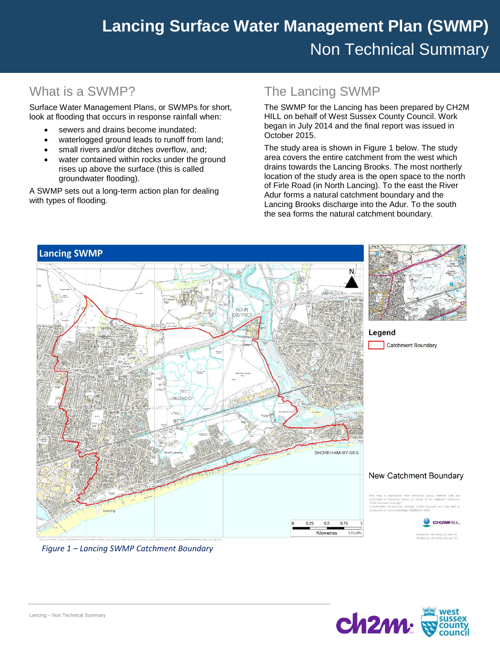# **Easebourne Surface Water Management Plan (SWMP) Lancing Surface Water Management Plan (SWMP)** Non Technical Summary

## What is a SWMP?

Surface Water Management Plans, or SWMPs for short, look at flooding that occurs in response rainfall when:

- sewers and drains become inundated;
- waterlogged ground leads to runoff from land;
- small rivers and/or ditches overflow, and;
- water contained within rocks under the ground rises up above the surface (this is called groundwater flooding).

A SWMP sets out a long-term action plan for dealing with types of flooding.

# The Lancing SWMP

The SWMP for the Lancing has been prepared by CH2M HILL on behalf of West Sussex County Council. Work began in July 2014 and the final report was issued in October 2015.

The study area is shown in Figure 1 below. The study area covers the entire catchment from the west which drains towards the Lancing Brooks. The most northerly location of the study area is the open space to the north of Firle Road (in North Lancing). To the east the River Adur forms a natural catchment boundary and the Lancing Brooks discharge into the Adur. To the south the sea forms the natural catchment boundary.



#### *Figure 1 – Lancing SWMP Catchment Boundary*

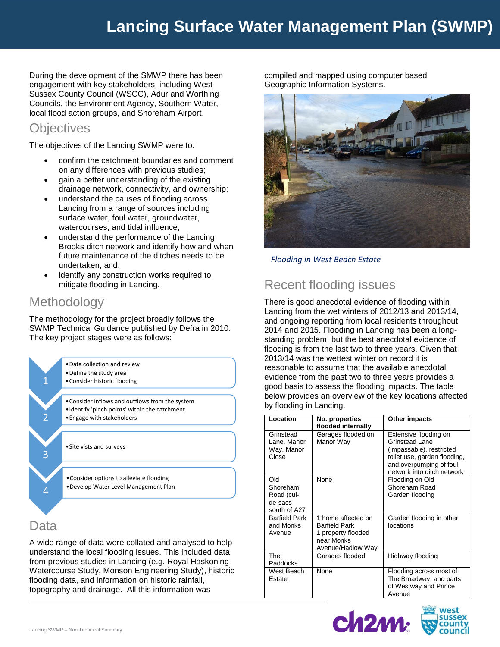# **Lancing Surface Water Management Plan (SWMP)**

During the development of the SMWP there has been engagement with key stakeholders, including West Sussex County Council (WSCC), Adur and Worthing Councils, the Environment Agency, Southern Water, local flood action groups, and Shoreham Airport.

#### **Objectives**

The objectives of the Lancing SWMP were to:

- confirm the catchment boundaries and comment on any differences with previous studies;
- gain a better understanding of the existing drainage network, connectivity, and ownership;
- understand the causes of flooding across Lancing from a range of sources including surface water, foul water, groundwater, watercourses, and tidal influence;
- understand the performance of the Lancing Brooks ditch network and identify how and when future maintenance of the ditches needs to be undertaken, and;
- identify any construction works required to mitigate flooding in Lancing.

## Methodology

The methodology for the project broadly follows the SWMP Technical Guidance published by Defra in 2010. The key project stages were as follows:



#### Data

A wide range of data were collated and analysed to help understand the local flooding issues. This included data from previous studies in Lancing (e.g. Royal Haskoning Watercourse Study, Monson Engineering Study), historic flooding data, and information on historic rainfall, topography and drainage. All this information was

compiled and mapped using computer based Geographic Information Systems.



*Flooding in West Beach Estate*

# Recent flooding issues

There is good anecdotal evidence of flooding within Lancing from the wet winters of 2012/13 and 2013/14, and ongoing reporting from local residents throughout 2014 and 2015. Flooding in Lancing has been a longstanding problem, but the best anecdotal evidence of flooding is from the last two to three years. Given that 2013/14 was the wettest winter on record it is reasonable to assume that the available anecdotal evidence from the past two to three years provides a good basis to assess the flooding impacts. The table below provides an overview of the key locations affected by flooding in Lancing.

| Location                                                 | No. properties<br>flooded internally                                                                | Other impacts                                                                                                                                                |
|----------------------------------------------------------|-----------------------------------------------------------------------------------------------------|--------------------------------------------------------------------------------------------------------------------------------------------------------------|
| Grinstead<br>Lane, Manor<br>Way, Manor<br>Close          | Garages flooded on<br>Manor Way                                                                     | Extensive flooding on<br>Grinstead Lane<br>(impassable), restricted<br>toilet use, garden flooding,<br>and overpumping of foul<br>network into ditch network |
| Old<br>Shoreham<br>Road (cul-<br>de-sacs<br>south of A27 | <b>None</b>                                                                                         | Flooding on Old<br>Shoreham Road<br>Garden flooding                                                                                                          |
| <b>Barfield Park</b><br>and Monks<br>Avenue              | 1 home affected on<br><b>Barfield Park</b><br>1 property flooded<br>near Monks<br>Avenue/Hadlow Way | Garden flooding in other<br>locations                                                                                                                        |
| The<br>Paddocks                                          | Garages flooded                                                                                     | Highway flooding                                                                                                                                             |
| West Beach<br>Estate                                     | None                                                                                                | Flooding across most of<br>The Broadway, and parts<br>of Westway and Prince<br>Avenue                                                                        |

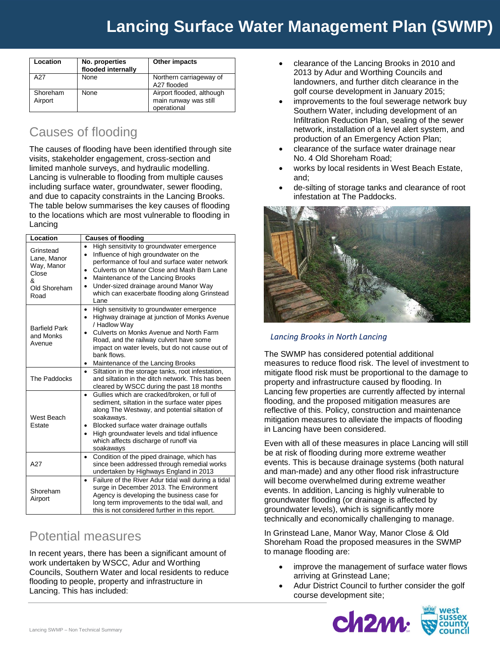# **Lancing Surface Water Management Plan (SWMP)**

| Location            | No. properties<br>flooded internally | Other impacts                                                     |
|---------------------|--------------------------------------|-------------------------------------------------------------------|
| A27                 | None                                 | Northern carriageway of<br>A27 flooded                            |
| Shoreham<br>Airport | None                                 | Airport flooded, although<br>main runway was still<br>operational |

# Causes of flooding

The causes of flooding have been identified through site visits, stakeholder engagement, cross-section and limited manhole surveys, and hydraulic modelling. Lancing is vulnerable to flooding from multiple causes including surface water, groundwater, sewer flooding, and due to capacity constraints in the Lancing Brooks. The table below summarises the key causes of flooding to the locations which are most vulnerable to flooding in Lancing

| Location                                                                     | <b>Causes of flooding</b>                                                                                                                                                                                                                                                                                                                                      |  |
|------------------------------------------------------------------------------|----------------------------------------------------------------------------------------------------------------------------------------------------------------------------------------------------------------------------------------------------------------------------------------------------------------------------------------------------------------|--|
| Grinstead<br>Lane, Manor<br>Way, Manor<br>Close<br>&<br>Old Shoreham<br>Road | High sensitivity to groundwater emergence<br>Influence of high groundwater on the<br>$\bullet$<br>performance of foul and surface water network<br>Culverts on Manor Close and Mash Barn Lane<br>Maintenance of the Lancing Brooks<br>$\bullet$<br>Under-sized drainage around Manor Way<br>$\bullet$<br>which can exacerbate flooding along Grinstead<br>Lane |  |
| <b>Barfield Park</b><br>and Monks<br>Avenue                                  | High sensitivity to groundwater emergence<br>Highway drainage at junction of Monks Avenue<br>/ Hadlow Way<br>Culverts on Monks Avenue and North Farm<br>Road, and the railway culvert have some<br>impact on water levels, but do not cause out of<br>bank flows.<br>Maintenance of the Lancing Brooks<br>٠                                                    |  |
| The Paddocks                                                                 | Siltation in the storage tanks, root infestation,<br>$\bullet$<br>and siltation in the ditch network. This has been<br>cleared by WSCC during the past 18 months                                                                                                                                                                                               |  |
| West Beach<br>Estate                                                         | Gullies which are cracked/broken, or full of<br>$\bullet$<br>sediment, siltation in the surface water pipes<br>along The Westway, and potential siltation of<br>soakaways.<br>Blocked surface water drainage outfalls<br>٠<br>High groundwater levels and tidal influence<br>$\bullet$<br>which affects discharge of runoff via<br>soakaways                   |  |
| A27                                                                          | Condition of the piped drainage, which has<br>since been addressed through remedial works<br>undertaken by Highways England in 2013                                                                                                                                                                                                                            |  |
| Shoreham<br>Airport                                                          | Failure of the River Adur tidal wall during a tidal<br>$\bullet$<br>surge in December 2013. The Environment<br>Agency is developing the business case for<br>long term improvements to the tidal wall, and<br>this is not considered further in this report.                                                                                                   |  |

### Potential measures

In recent years, there has been a significant amount of work undertaken by WSCC, Adur and Worthing Councils, Southern Water and local residents to reduce flooding to people, property and infrastructure in Lancing. This has included:

- clearance of the Lancing Brooks in 2010 and 2013 by Adur and Worthing Councils and landowners, and further ditch clearance in the golf course development in January 2015;
- improvements to the foul sewerage network buy Southern Water, including development of an Infiltration Reduction Plan, sealing of the sewer network, installation of a level alert system, and production of an Emergency Action Plan;
- clearance of the surface water drainage near No. 4 Old Shoreham Road;
- works by local residents in West Beach Estate, and;
- de-silting of storage tanks and clearance of root infestation at The Paddocks.



#### *Lancing Brooks in North Lancing*

The SWMP has considered potential additional measures to reduce flood risk. The level of investment to mitigate flood risk must be proportional to the damage to property and infrastructure caused by flooding. In Lancing few properties are currently affected by internal flooding, and the proposed mitigation measures are reflective of this. Policy, construction and maintenance mitigation measures to alleviate the impacts of flooding in Lancing have been considered.

Even with all of these measures in place Lancing will still be at risk of flooding during more extreme weather events. This is because drainage systems (both natural and man-made) and any other flood risk infrastructure will become overwhelmed during extreme weather events. In addition, Lancing is highly vulnerable to groundwater flooding (or drainage is affected by groundwater levels), which is significantly more technically and economically challenging to manage.

In Grinstead Lane, Manor Way, Manor Close & Old Shoreham Road the proposed measures in the SWMP to manage flooding are:

- improve the management of surface water flows arriving at Grinstead Lane;
- Adur District Council to further consider the golf course development site;